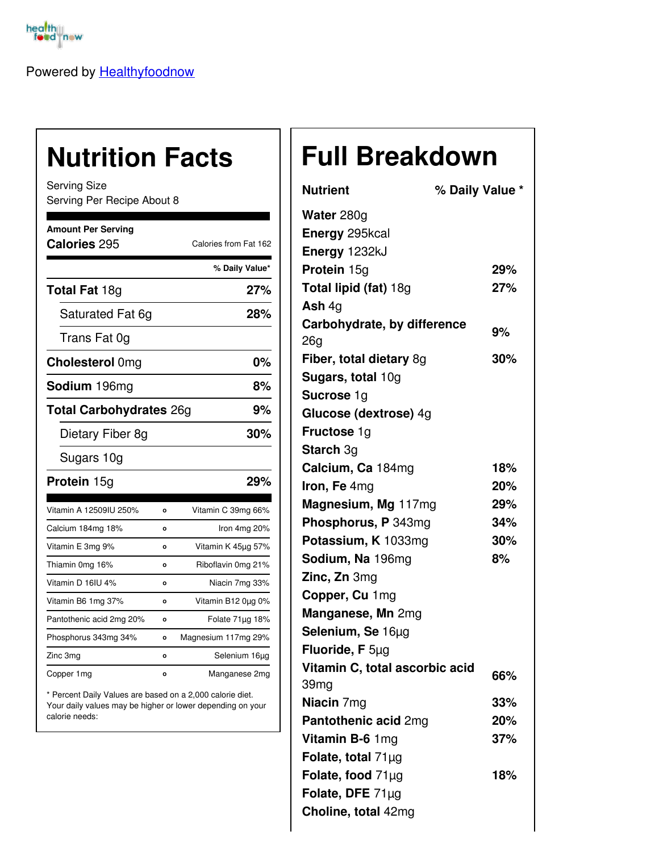

Powered by [Healthyfoodnow](https://healthyfoodnow.com)

## **Nutrition Facts**

Serving Size Serving Per Recipe About 8

| <b>Amount Per Serving</b><br>Calories 295 |         | Calories from Fat 162 |
|-------------------------------------------|---------|-----------------------|
|                                           |         | % Daily Value*        |
| <b>Total Fat 18g</b>                      |         | 27%                   |
| Saturated Fat 6g                          |         | 28%                   |
| Trans Fat 0g                              |         |                       |
| <b>Cholesterol Omg</b>                    |         | 0%                    |
| Sodium 196mg                              |         | 8%                    |
| <b>Total Carbohydrates 26g</b>            |         | 9%                    |
| Dietary Fiber 8g                          |         | 30%                   |
| Sugars 10g                                |         |                       |
| Protein 15g                               |         | 29%                   |
| Vitamin A 12509IU 250%                    | O       | Vitamin C 39mg 66%    |
| Calcium 184mg 18%                         | o       | Iron 4mg 20%          |
| Vitamin E 3mg 9%                          | O       | Vitamin K 45µg 57%    |
| Thiamin 0mg 16%                           | o       | Riboflavin 0mg 21%    |
| Vitamin D 16IU 4%                         | Ō       | Niacin 7mg 33%        |
| Vitamin B6 1mg 37%                        | Ō       | Vitamin B12 0µg 0%    |
| Pantothenic acid 2mg 20%                  | $\circ$ | Folate 71µg 18%       |
| Phosphorus 343mg 34%                      | o       | Magnesium 117mg 29%   |
| Zinc 3mg                                  | O       | Selenium 16µg         |
| Copper 1mg                                | O       | Manganese 2mg         |

\* Percent Daily Values are based on a 2,000 calorie diet. Your daily values may be higher or lower depending on your calorie needs:

## **Full Breakdown**

| <b>Nutrient</b>                | % Daily Value * |
|--------------------------------|-----------------|
| Water 280g                     |                 |
| Energy 295kcal                 |                 |
| Energy 1232kJ                  |                 |
| Protein 15g                    | 29%             |
| Total lipid (fat) 18g          | 27%             |
| Ash $4q$                       |                 |
| Carbohydrate, by difference    | 9%              |
| 26g                            |                 |
| Fiber, total dietary 8g        | 30%             |
| Sugars, total 10g              |                 |
| <b>Sucrose 1g</b>              |                 |
| Glucose (dextrose) 4g          |                 |
| Fructose 1g                    |                 |
| <b>Starch 3g</b>               |                 |
| Calcium, Ca 184mg              | 18%             |
| Iron, Fe 4mg                   | 20%             |
| Magnesium, Mg 117mg            | 29%             |
| Phosphorus, P 343mg            | 34%             |
| Potassium, K 1033mg            | 30%             |
| Sodium, Na 196mg               | 8%              |
| Zinc, Zn 3mg                   |                 |
| Copper, Cu 1mg                 |                 |
| Manganese, Mn 2mg              |                 |
| Selenium, Se 16µg              |                 |
| Fluoride, F 5µg                |                 |
| Vitamin C, total ascorbic acid | 66%             |
| 39mg                           |                 |
| Niacin 7mg                     | 33%             |
| Pantothenic acid 2mg           | 20%             |
| Vitamin B-6 1mg                | 37%             |
| Folate, total $71\mu$ g        |                 |
| Folate, food 71µg              | 18%             |
| Folate, DFE 71µg               |                 |
| Choline, total 42mg            |                 |